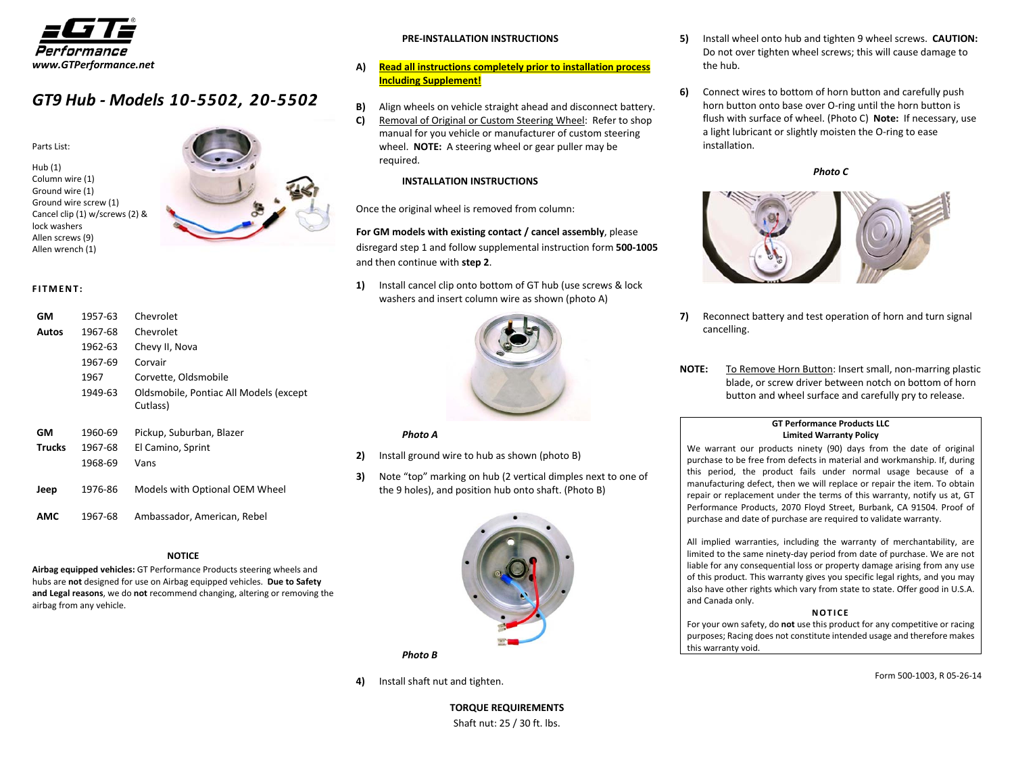

## *GT9 Hub ‐ Models <sup>10</sup>‐5502, <sup>20</sup>‐<sup>5502</sup>*

Parts List:

Hub (1) Column wire (1) Ground wire (1) Ground wire screw (1) Cancel clip (1) w/screws (2) & lock washers Allen screws (9) Allen wrench (1)



#### **FITMENT:**

| GМ            | 1957-63 | Chevrolet                              |
|---------------|---------|----------------------------------------|
| Autos         | 1967-68 | Chevrolet                              |
|               | 1962-63 | Chevy II, Nova                         |
|               | 1967-69 | Corvair                                |
|               | 1967    | Corvette, Oldsmobile                   |
|               | 1949-63 | Oldsmobile, Pontiac All Models (except |
|               |         | Cutlass)                               |
|               |         |                                        |
| GМ            | 1960-69 | Pickup, Suburban, Blazer               |
| <b>Trucks</b> | 1967-68 | El Camino, Sprint                      |
|               | 1968-69 | Vans                                   |
| Jeep          | 1976-86 | Models with Optional OEM Wheel         |
|               |         |                                        |
| AMC           | 1967-68 | Ambassador, American, Rebel            |

#### **NOTICE**

**Airbag equipped vehicles:** GT Performance Products steering wheels and hubs are **not** designed for use on Airbag equipped vehicles. **Due to Safety and Legal reasons**, we do **not** recommend changing, altering or removing the airbag from any vehicle.

#### **PRE‐INSTALLATION INSTRUCTIONS**

- **A) Read all instructions completely prior to installation process Including Supplement!**
- **B)** Align wheels on vehicle straight ahead and disconnect battery.
- **C)** Removal of Original or Custom Steering Wheel: Refer to shop manual for you vehicle or manufacturer of custom steering wheel. **NOTE:** A steering wheel or gear puller may be required.

#### **INSTALLATION INSTRUCTIONS**

Once the original wheel is removed from column:

**For GM models with existing contact / cancel assembly**, please disregard step 1 and follow supplemental instruction form **500‐1005** and then continue with **step 2**.

**1)** Install cancel clip onto bottom of GT hub (use screws & lock washers and insert column wire as shown (photo A)



#### *Photo A*

- **2)** Install ground wire to hub as shown (photo B)
- **3)** Note "top" marking on hub (2 vertical dimples next to one of the 9 holes), and position hub onto shaft. (Photo B)



*Photo B*

**4)** Install shaft nut and tighten.

**TORQUE REQUIREMENTS** Shaft nut: 25 / 30 ft. lbs.

- **5)** Install wheel onto hub and tighten 9 wheel screws. **CAUTION:** Do not over tighten wheel screws; this will cause damage to the hub.
- **6)** Connect wires to bottom of horn button and carefully push horn button onto base over O‐ring until the horn button is flush with surface of wheel. (Photo C) **Note:** If necessary, use a light lubricant or slightly moisten the O‐ring to ease installation.

*Photo C*



- **7)** Reconnect battery and test operation of horn and turn signal cancelling.
- **NOTE:** To Remove Horn Button: Insert small, non‐marring plastic blade, or screw driver between notch on bottom of horn button and wheel surface and carefully pry to release.

#### **GT Performance Products LLCLimited Warranty Policy**

We warrant our products ninety (90) days from the date of original purchase to be free from defects in material and workmanship. If, during this period, the product fails under normal usage because of <sup>a</sup> manufacturing defect, then we will replace or repair the item. To obtain repair or replacement under the terms of this warranty, notify us at, GT Performance Products, 2070 Floyd Street, Burbank, CA 91504. Proof of purchase and date of purchase are required to validate warranty.

All implied warranties, including the warranty of merchantability, are limited to the same ninety‐day period from date of purchase. We are not liable for any consequential loss or property damage arising from any use of this product. This warranty gives you specific legal rights, and you may also have other rights which vary from state to state. Offer good in U.S.A. and Canada only.

#### **NOTICE**

For your own safety, do **not** use this product for any competitive or racing purposes; Racing does not constitute intended usage and therefore makes this warranty void.